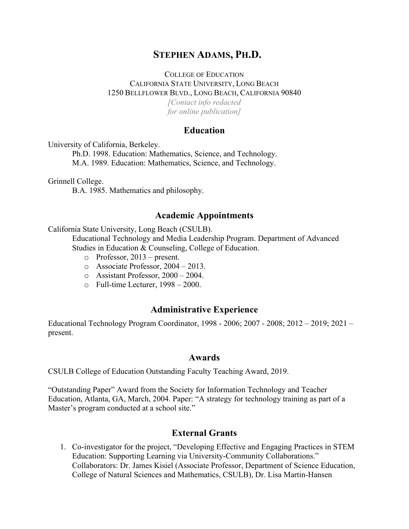# **STEPHEN ADAMS, PH.D.**

### COLLEGE OF EDUCATION CALIFORNIA STATE UNIVERSITY, LONG BEACH 1250 BELLFLOWER BLVD., LONG BEACH, CALIFORNIA 90840 *[Contact info redacted for online publication]*

## **Education**

University of California, Berkeley.

Ph.D. 1998. Education: Mathematics, Science, and Technology. M.A. 1989. Education: Mathematics, Science, and Technology.

Grinnell College.

B.A. 1985. Mathematics and philosophy.

#### **Academic Appointments**

California State University, Long Beach (CSULB).

Educational Technology and Media Leadership Program. Department of Advanced Studies in Education & Counseling, College of Education.

- o Professor, 2013 present.
- o Associate Professor, 2004 2013.
- o Assistant Professor, 2000 2004.
- o Full-time Lecturer, 1998 2000.

### **Administrative Experience**

Educational Technology Program Coordinator, 1998 - 2006; 2007 - 2008; 2012 – 2019; 2021 – present.

## **Awards**

CSULB College of Education Outstanding Faculty Teaching Award, 2019.

"Outstanding Paper" Award from the Society for Information Technology and Teacher Education, Atlanta, GA, March, 2004. Paper: "A strategy for technology training as part of a Master's program conducted at a school site."

### **External Grants**

1. Co-investigator for the project, "Developing Effective and Engaging Practices in STEM Education: Supporting Learning via University-Community Collaborations." Collaborators: Dr. James Kisiel (Associate Professor, Department of Science Education, College of Natural Sciences and Mathematics, CSULB), Dr. Lisa Martin-Hansen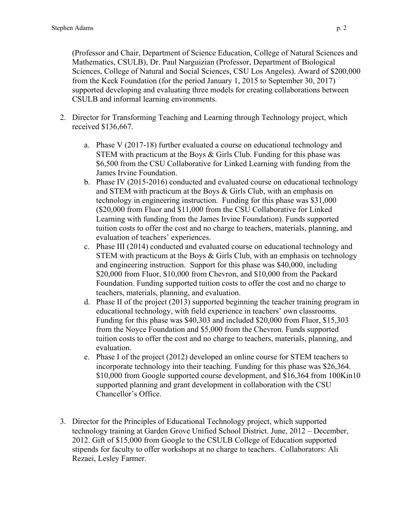(Professor and Chair, Department of Science Education, College of Natural Sciences and Mathematics, CSULB), Dr. Paul Narguizian (Professor, Department of Biological Sciences, College of Natural and Social Sciences, CSU Los Angeles). Award of \$200,000 from the Keck Foundation (for the period January 1, 2015 to September 30, 2017) supported developing and evaluating three models for creating collaborations between CSULB and informal learning environments.

- 2. Director for Transforming Teaching and Learning through Technology project, which received \$136,667.
	- a. Phase V (2017-18) further evaluated a course on educational technology and STEM with practicum at the Boys & Girls Club. Funding for this phase was \$6,500 from the CSU Collaborative for Linked Learning with funding from the James Irvine Foundation.
	- b. Phase IV (2015-2016) conducted and evaluated course on educational technology and STEM with practicum at the Boys & Girls Club, with an emphasis on technology in engineering instruction. Funding for this phase was \$31,000 (\$20,000 from Fluor and \$11,000 from the CSU Collaborative for Linked Learning with funding from the James Irvine Foundation). Funds supported tuition costs to offer the cost and no charge to teachers, materials, planning, and evaluation of teachers' experiences.
	- c. Phase III (2014) conducted and evaluated course on educational technology and STEM with practicum at the Boys & Girls Club, with an emphasis on technology and engineering instruction. Support for this phase was \$40,000, including \$20,000 from Fluor, \$10,000 from Chevron, and \$10,000 from the Packard Foundation. Funding supported tuition costs to offer the cost and no charge to teachers, materials, planning, and evaluation.
	- d. Phase II of the project (2013) supported beginning the teacher training program in educational technology, with field experience in teachers' own classrooms. Funding for this phase was \$40,303 and included \$20,000 from Fluor, \$15,303 from the Noyce Foundation and \$5,000 from the Chevron. Funds supported tuition costs to offer the cost and no charge to teachers, materials, planning, and evaluation.
	- e. Phase I of the project (2012) developed an online course for STEM teachers to incorporate technology into their teaching. Funding for this phase was \$26,364. \$10,000 from Google supported course development, and \$16,364 from 100Kin10 supported planning and grant development in collaboration with the CSU Chancellor's Office.
- 3. Director for the Principles of Educational Technology project, which supported technology training at Garden Grove Unified School District. June, 2012 – December, 2012. Gift of \$15,000 from Google to the CSULB College of Education supported stipends for faculty to offer workshops at no charge to teachers. Collaborators: Ali Rezaei, Lesley Farmer.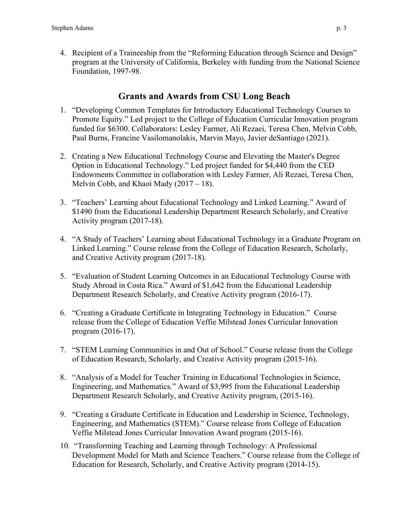4. Recipient of a Traineeship from the "Reforming Education through Science and Design" program at the University of California, Berkeley with funding from the National Science Foundation, 1997-98.

# **Grants and Awards from CSU Long Beach**

- 1. "Developing Common Templates for Introductory Educational Technology Courses to Promote Equity." Led project to the College of Education Curricular Innovation program funded for \$6300. Collaborators: Lesley Farmer, Ali Rezaei, Teresa Chen, Melvin Cobb, Paul Burns, Francine Vasilomanolakis, Marvin Mayo, Javier deSantiago (2021).
- 2. Creating a New Educational Technology Course and Elevating the Master's Degree Option in Educational Technology." Led project funded for \$4,440 from the CED Endowments Committee in collaboration with Lesley Farmer, Ali Rezaei, Teresa Chen, Melvin Cobb, and Khaoi Mady (2017 – 18).
- 3. "Teachers' Learning about Educational Technology and Linked Learning." Award of \$1490 from the Educational Leadership Department Research Scholarly, and Creative Activity program (2017-18).
- 4. "A Study of Teachers' Learning about Educational Technology in a Graduate Program on Linked Learning." Course release from the College of Education Research, Scholarly, and Creative Activity program (2017-18).
- 5. "Evaluation of Student Learning Outcomes in an Educational Technology Course with Study Abroad in Costa Rica." Award of \$1,642 from the Educational Leadership Department Research Scholarly, and Creative Activity program (2016-17).
- 6. "Creating a Graduate Certificate in Integrating Technology in Education." Course release from the College of Education Veffie Milstead Jones Curricular Innovation program (2016-17).
- 7. "STEM Learning Communities in and Out of School." Course release from the College of Education Research, Scholarly, and Creative Activity program (2015-16).
- 8. "Analysis of a Model for Teacher Training in Educational Technologies in Science, Engineering, and Mathematics." Award of \$3,995 from the Educational Leadership Department Research Scholarly, and Creative Activity program, (2015-16).
- 9. "Creating a Graduate Certificate in Education and Leadership in Science, Technology, Engineering, and Mathematics (STEM)." Course release from College of Education Veffie Milstead Jones Curricular Innovation Award program (2015-16).
- 10. "Transforming Teaching and Learning through Technology: A Professional Development Model for Math and Science Teachers." Course release from the College of Education for Research, Scholarly, and Creative Activity program (2014-15).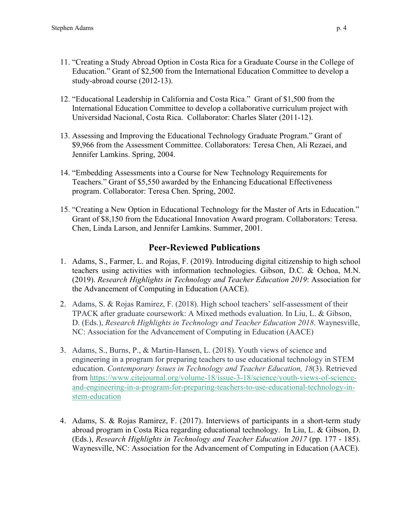- 11. "Creating a Study Abroad Option in Costa Rica for a Graduate Course in the College of Education." Grant of \$2,500 from the International Education Committee to develop a study-abroad course (2012-13).
- 12. "Educational Leadership in California and Costa Rica." Grant of \$1,500 from the International Education Committee to develop a collaborative curriculum project with Universidad Nacional, Costa Rica. Collaborator: Charles Slater (2011-12).
- 13. Assessing and Improving the Educational Technology Graduate Program." Grant of \$9,966 from the Assessment Committee. Collaborators: Teresa Chen, Ali Rezaei, and Jennifer Lamkins. Spring, 2004.
- 14. "Embedding Assessments into a Course for New Technology Requirements for Teachers." Grant of \$5,550 awarded by the Enhancing Educational Effectiveness program. Collaborator: Teresa Chen. Spring, 2002.
- 15. "Creating a New Option in Educational Technology for the Master of Arts in Education." Grant of \$8,150 from the Educational Innovation Award program. Collaborators: Teresa. Chen, Linda Larson, and Jennifer Lamkins. Summer, 2001.

# **Peer-Reviewed Publications**

- 1. Adams, S., Farmer, L. and Rojas, F. (2019). Introducing digital citizenship to high school teachers using activities with information technologies. Gibson, D.C. & Ochoa, M.N. (2019). *Research Highlights in Technology and Teacher Education 2019*: Association for the Advancement of Computing in Education (AACE).
- 2. Adams, S. & Rojas Ramirez, F. (2018). High school teachers' self-assessment of their TPACK after graduate coursework: A Mixed methods evaluation. In Liu, L. & Gibson, D. (Eds.), *Research Highlights in Technology and Teacher Education 2018*. Waynesville, NC: Association for the Advancement of Computing in Education (AACE)
- 3. Adams, S., Burns, P., & Martin-Hansen, L. (2018). Youth views of science and engineering in a program for preparing teachers to use educational technology in STEM education. *Contemporary Issues in Technology and Teacher Education, 18*(3). Retrieved from [https://www.citejournal.org/volume-18/issue-3-18/science/youth-views-of-science](https://www.citejournal.org/volume-18/issue-3-18/science/youth-views-of-science-and-engineering-in-a-program-for-preparing-teachers-to-use-educational-technology-in-stem-education)[and-engineering-in-a-program-for-preparing-teachers-to-use-educational-technology-in](https://www.citejournal.org/volume-18/issue-3-18/science/youth-views-of-science-and-engineering-in-a-program-for-preparing-teachers-to-use-educational-technology-in-stem-education)[stem-education](https://www.citejournal.org/volume-18/issue-3-18/science/youth-views-of-science-and-engineering-in-a-program-for-preparing-teachers-to-use-educational-technology-in-stem-education)
- 4. Adams, S. & Rojas Ramirez, F. (2017). Interviews of participants in a short-term study abroad program in Costa Rica regarding educational technology. In Liu, L. & Gibson, D. (Eds.), *Research Highlights in Technology and Teacher Education 2017* (pp. 177 - 185). Waynesville, NC: Association for the Advancement of Computing in Education (AACE).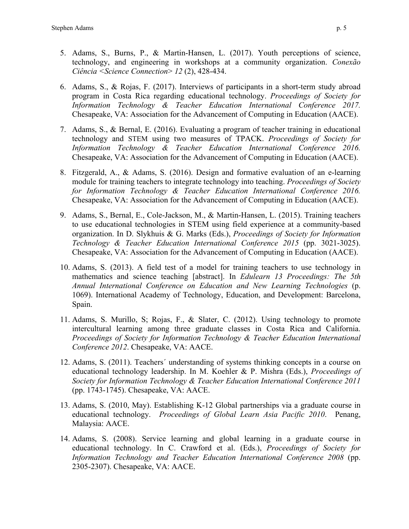- 5. Adams, S., Burns, P., & Martin-Hansen, L. (2017). Youth perceptions of science, technology, and engineering in workshops at a community organization. *Conexão Ciência <Science Connection*> *12* (2), 428-434.
- 6. Adams, S., & Rojas, F. (2017). Interviews of participants in a short-term study abroad program in Costa Rica regarding educational technology. *Proceedings of Society for Information Technology & Teacher Education International Conference 2017.* Chesapeake, VA: Association for the Advancement of Computing in Education (AACE).
- 7. Adams, S., & Bernal, E. (2016). Evaluating a program of teacher training in educational technology and STEM using two measures of TPACK. *Proceedings of Society for Information Technology & Teacher Education International Conference 2016.* Chesapeake, VA: Association for the Advancement of Computing in Education (AACE).
- 8. Fitzgerald, A., & Adams, S. (2016). Design and formative evaluation of an e-learning module for training teachers to integrate technology into teaching. *Proceedings of Society for Information Technology & Teacher Education International Conference 2016.* Chesapeake, VA: Association for the Advancement of Computing in Education (AACE).
- 9. Adams, S., Bernal, E., Cole-Jackson, M., & Martin-Hansen, L. (2015). Training teachers to use educational technologies in STEM using field experience at a community-based organization. In D. Slykhuis & G. Marks (Eds.), *Proceedings of Society for Information Technology & Teacher Education International Conference 2015* (pp. 3021-3025). Chesapeake, VA: Association for the Advancement of Computing in Education (AACE).
- 10. Adams, S. (2013). A field test of a model for training teachers to use technology in mathematics and science teaching [abstract]. In *Edulearn 13 Proceedings: The 5th Annual International Conference on Education and New Learning Technologies* (p. 1069). International Academy of Technology, Education, and Development: Barcelona, Spain.
- 11. Adams, S. Murillo, S; Rojas, F., & Slater, C. (2012). Using technology to promote intercultural learning among three graduate classes in Costa Rica and California. *Proceedings of Society for Information Technology & Teacher Education International Conference 2012*. Chesapeake, VA: AACE.
- 12. Adams, S. (2011). Teachers´ understanding of systems thinking concepts in a course on educational technology leadership. In M. Koehler & P. Mishra (Eds.), *Proceedings of Society for Information Technology & Teacher Education International Conference 2011* (pp. 1743-1745). Chesapeake, VA: AACE.
- 13. Adams, S. (2010, May). Establishing K-12 Global partnerships via a graduate course in educational technology. *Proceedings of Global Learn Asia Pacific 2010*. Penang, Malaysia: AACE.
- 14. Adams, S. (2008). Service learning and global learning in a graduate course in educational technology. In C. Crawford et al. (Eds.), *Proceedings of Society for Information Technology and Teacher Education International Conference 2008* (pp. 2305-2307). Chesapeake, VA: AACE.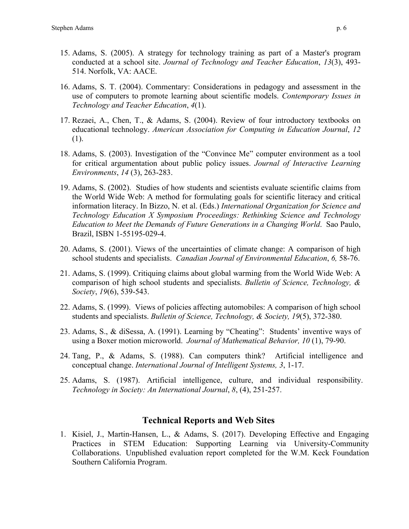- 15. Adams, S. (2005). A strategy for technology training as part of a Master's program conducted at a school site. *Journal of Technology and Teacher Education*, *13*(3), 493- 514. Norfolk, VA: AACE.
- 16. Adams, S. T. (2004). Commentary: Considerations in pedagogy and assessment in the use of computers to promote learning about scientific models. *Contemporary Issues in Technology and Teacher Education*, *4*(1).
- 17. Rezaei, A., Chen, T., & Adams, S. (2004). Review of four introductory textbooks on educational technology. *American Association for Computing in Education Journal*, *12*  (1).
- 18. Adams, S. (2003). Investigation of the "Convince Me" computer environment as a tool for critical argumentation about public policy issues. *Journal of Interactive Learning Environments*, *14* (3), 263-283.
- 19. Adams, S. (2002). Studies of how students and scientists evaluate scientific claims from the World Wide Web: A method for formulating goals for scientific literacy and critical information literacy. In Bizzo, N. et al. (Eds.) *International Organization for Science and Technology Education X Symposium Proceedings: Rethinking Science and Technology Education to Meet the Demands of Future Generations in a Changing World*. Sao Paulo, Brazil, ISBN 1-55195-029-4.
- 20. Adams, S. (2001). Views of the uncertainties of climate change: A comparison of high school students and specialists. *Canadian Journal of Environmental Education*, *6,* 58-76.
- 21. Adams, S. (1999). Critiquing claims about global warming from the World Wide Web: A comparison of high school students and specialists. *Bulletin of Science, Technology, & Society*, *19*(6), 539-543.
- 22. Adams, S. (1999). Views of policies affecting automobiles: A comparison of high school students and specialists. *Bulletin of Science, Technology, & Society, 19*(5), 372-380.
- 23. Adams, S., & diSessa, A. (1991). Learning by "Cheating": Students' inventive ways of using a Boxer motion microworld. *Journal of Mathematical Behavior, 10* (1), 79-90.
- 24. Tang, P., & Adams, S. (1988). Can computers think? Artificial intelligence and conceptual change. *International Journal of Intelligent Systems, 3*, 1-17.
- 25. Adams, S. (1987). Artificial intelligence, culture, and individual responsibility. *Technology in Society: An International Journal*, *8*, (4), 251-257.

### **Technical Reports and Web Sites**

1. Kisiel, J., Martin-Hansen, L., & Adams, S. (2017). Developing Effective and Engaging Practices in STEM Education: Supporting Learning via University-Community Collaborations. Unpublished evaluation report completed for the W.M. Keck Foundation Southern California Program.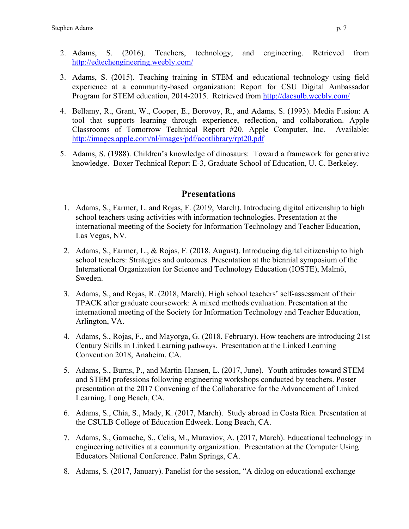- 2. Adams, S. (2016). Teachers, technology, and engineering. Retrieved from <http://edtechengineering.weebly.com/>
- 3. Adams, S. (2015). Teaching training in STEM and educational technology using field experience at a community-based organization: Report for CSU Digital Ambassador Program for STEM education, 2014-2015. Retrieved from<http://dacsulb.weebly.com/>
- 4. Bellamy, R., Grant, W., Cooper, E., Borovoy, R., and Adams, S. (1993). Media Fusion: A tool that supports learning through experience, reflection, and collaboration. Apple Classrooms of Tomorrow Technical Report #20. Apple Computer, Inc. Available: <http://images.apple.com/nl/images/pdf/acotlibrary/rpt20.pdf>
- 5. Adams, S. (1988). Children's knowledge of dinosaurs: Toward a framework for generative knowledge. Boxer Technical Report E-3, Graduate School of Education, U. C. Berkeley.

## **Presentations**

- 1. Adams, S., Farmer, L. and Rojas, F. (2019, March). Introducing digital citizenship to high school teachers using activities with information technologies. Presentation at the international meeting of the Society for Information Technology and Teacher Education, Las Vegas, NV.
- 2. Adams, S., Farmer, L., & Rojas, F. (2018, August). Introducing digital citizenship to high school teachers: Strategies and outcomes. Presentation at the biennial symposium of the International Organization for Science and Technology Education (IOSTE), Malmö, Sweden.
- 3. Adams, S., and Rojas, R. (2018, March). High school teachers' self-assessment of their TPACK after graduate coursework: A mixed methods evaluation. Presentation at the international meeting of the Society for Information Technology and Teacher Education, Arlington, VA.
- 4. Adams, S., Rojas, F., and Mayorga, G. (2018, February). How teachers are introducing 21st Century Skills in Linked Learning pathways. Presentation at the Linked Learning Convention 2018, Anaheim, CA.
- 5. Adams, S., Burns, P., and Martin-Hansen, L. (2017, June). Youth attitudes toward STEM and STEM professions following engineering workshops conducted by teachers. Poster presentation at the 2017 Convening of the Collaborative for the Advancement of Linked Learning. Long Beach, CA.
- 6. Adams, S., Chia, S., Mady, K. (2017, March). Study abroad in Costa Rica. Presentation at the CSULB College of Education Edweek. Long Beach, CA.
- 7. Adams, S., Gamache, S., Celis, M., Muraviov, A. (2017, March). Educational technology in engineering activities at a community organization. Presentation at the Computer Using Educators National Conference. Palm Springs, CA.
- 8. Adams, S. (2017, January). Panelist for the session, "A dialog on educational exchange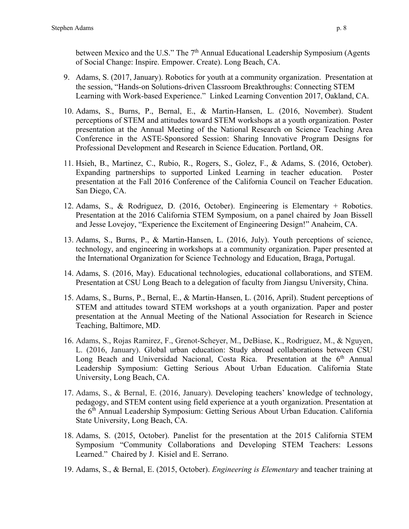between Mexico and the U.S." The 7<sup>th</sup> Annual Educational Leadership Symposium (Agents of Social Change: Inspire. Empower. Create). Long Beach, CA.

- 9. Adams, S. (2017, January). Robotics for youth at a community organization. Presentation at the session, "Hands-on Solutions-driven Classroom Breakthroughs: Connecting STEM Learning with Work-based Experience." Linked Learning Convention 2017, Oakland, CA.
- 10. Adams, S., Burns, P., Bernal, E., & Martin-Hansen, L. (2016, November). Student perceptions of STEM and attitudes toward STEM workshops at a youth organization. Poster presentation at the Annual Meeting of the National Research on Science Teaching Area Conference in the ASTE-Sponsored Session: Sharing Innovative Program Designs for Professional Development and Research in Science Education. Portland, OR.
- 11. Hsieh, B., Martinez, C., Rubio, R., Rogers, S., Golez, F., & Adams, S. (2016, October). Expanding partnerships to supported Linked Learning in teacher education. Poster presentation at the Fall 2016 Conference of the California Council on Teacher Education. San Diego, CA.
- 12. Adams, S., & Rodriguez, D. (2016, October). Engineering is Elementary + Robotics. Presentation at the 2016 California STEM Symposium, on a panel chaired by Joan Bissell and Jesse Lovejoy, "Experience the Excitement of Engineering Design!" Anaheim, CA.
- 13. Adams, S., Burns, P., & Martin-Hansen, L. (2016, July). Youth perceptions of science, technology, and engineering in workshops at a community organization. Paper presented at the International Organization for Science Technology and Education, Braga, Portugal.
- 14. Adams, S. (2016, May). Educational technologies, educational collaborations, and STEM. Presentation at CSU Long Beach to a delegation of faculty from Jiangsu University, China.
- 15. Adams, S., Burns, P., Bernal, E., & Martin-Hansen, L. (2016, April). Student perceptions of STEM and attitudes toward STEM workshops at a youth organization. Paper and poster presentation at the Annual Meeting of the National Association for Research in Science Teaching, Baltimore, MD.
- 16. Adams, S., Rojas Ramirez, F., Grenot-Scheyer, M., DeBiase, K., Rodriguez, M., & Nguyen, L. (2016, January). Global urban education: Study abroad collaborations between CSU Long Beach and Universidad Nacional, Costa Rica. Presentation at the  $6<sup>th</sup>$  Annual Leadership Symposium: Getting Serious About Urban Education. California State University, Long Beach, CA.
- 17. Adams, S., & Bernal, E. (2016, January). Developing teachers' knowledge of technology, pedagogy, and STEM content using field experience at a youth organization. Presentation at the 6th Annual Leadership Symposium: Getting Serious About Urban Education. California State University, Long Beach, CA.
- 18. Adams, S. (2015, October). Panelist for the presentation at the 2015 California STEM Symposium "Community Collaborations and Developing STEM Teachers: Lessons Learned." Chaired by J. Kisiel and E. Serrano.
- 19. Adams, S., & Bernal, E. (2015, October). *Engineering is Elementary* and teacher training at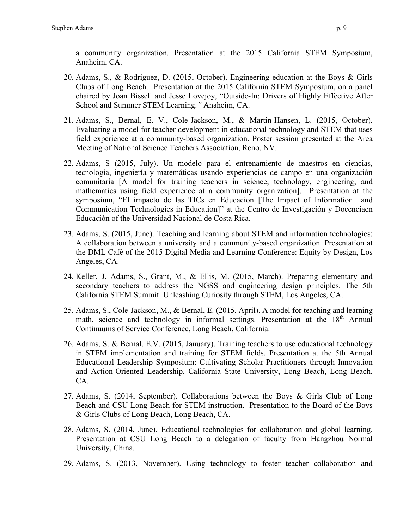a community organization. Presentation at the 2015 California STEM Symposium, Anaheim, CA.

- 20. Adams, S., & Rodriguez, D. (2015, October). Engineering education at the Boys & Girls Clubs of Long Beach. Presentation at the 2015 California STEM Symposium, on a panel chaired by Joan Bissell and Jesse Lovejoy, "Outside-In: Drivers of Highly Effective After School and Summer STEM Learning.*"* Anaheim, CA.
- 21. Adams, S., Bernal, E. V., Cole-Jackson, M., & Martin-Hansen, L. (2015, October). Evaluating a model for teacher development in educational technology and STEM that uses field experience at a community-based organization. Poster session presented at the Area Meeting of National Science Teachers Association, Reno, NV.
- 22. Adams, S (2015, July). Un modelo para el entrenamiento de maestros en ciencias, tecnología, ingeniería y matemáticas usando experiencias de campo en una organización comunitaria [A model for training teachers in science, technology, engineering, and mathematics using field experience at a community organization]. Presentation at the symposium, "El impacto de las TICs en Educacion [The Impact of Information and Communication Technologies in Education]" at the Centro de Investigación y Docenciaen Educación of the Universidad Nacional de Costa Rica.
- 23. Adams, S. (2015, June). Teaching and learning about STEM and information technologies: A collaboration between a university and a community-based organization. Presentation at the DML Café of the 2015 Digital Media and Learning Conference: Equity by Design, Los Angeles, CA.
- 24. Keller, J. Adams, S., Grant, M., & Ellis, M. (2015, March). Preparing elementary and secondary teachers to address the NGSS and engineering design principles. The 5th California STEM Summit: Unleashing Curiosity through STEM, Los Angeles, CA.
- 25. Adams, S., Cole-Jackson, M., & Bernal, E. (2015, April). A model for teaching and learning math, science and technology in informal settings. Presentation at the 18<sup>th</sup> Annual Continuums of Service Conference, Long Beach, California.
- 26. Adams, S. & Bernal, E.V. (2015, January). Training teachers to use educational technology in STEM implementation and training for STEM fields. Presentation at the 5th Annual Educational Leadership Symposium: Cultivating Scholar-Practitioners through Innovation and Action-Oriented Leadership. California State University, Long Beach, Long Beach, CA.
- 27. Adams, S. (2014, September). Collaborations between the Boys & Girls Club of Long Beach and CSU Long Beach for STEM instruction. Presentation to the Board of the Boys & Girls Clubs of Long Beach, Long Beach, CA.
- 28. Adams, S. (2014, June). Educational technologies for collaboration and global learning. Presentation at CSU Long Beach to a delegation of faculty from Hangzhou Normal University, China.
- 29. Adams, S. (2013, November). Using technology to foster teacher collaboration and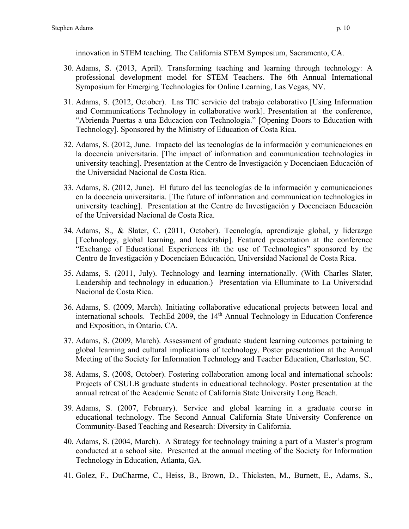innovation in STEM teaching. The California STEM Symposium, Sacramento, CA.

- 30. Adams, S. (2013, April). Transforming teaching and learning through technology: A professional development model for STEM Teachers. The 6th Annual International Symposium for Emerging Technologies for Online Learning, Las Vegas, NV.
- 31. Adams, S. (2012, October). Las TIC servicio del trabajo colaborativo [Using Information and Communications Technology in collaborative work]. Presentation at the conference, "Abrienda Puertas a una Educacion con Technologia." [Opening Doors to Education with Technology]. Sponsored by the Ministry of Education of Costa Rica.
- 32. Adams, S. (2012, June. Impacto del las tecnologías de la información y comunicaciones en la docencia universitaria. [The impact of information and communication technologies in university teaching]. Presentation at the Centro de Investigación y Docenciaen Educación of the Universidad Nacional de Costa Rica.
- 33. Adams, S. (2012, June). El futuro del las tecnologías de la información y comunicaciones en la docencia universitaria. [The future of information and communication technologies in university teaching]. Presentation at the Centro de Investigación y Docenciaen Educación of the Universidad Nacional de Costa Rica.
- 34. Adams, S., & Slater, C. (2011, October). Tecnología, aprendizaje global, y liderazgo [Technology, global learning, and leadership]. Featured presentation at the conference "Exchange of Educational Experiences ith the use of Technologies" sponsored by the Centro de Investigación y Docenciaen Educación, Universidad Nacional de Costa Rica.
- 35. Adams, S. (2011, July). Technology and learning internationally. (With Charles Slater, Leadership and technology in education.) Presentation via Elluminate to La Universidad Nacional de Costa Rica.
- 36. Adams, S. (2009, March). Initiating collaborative educational projects between local and international schools. TechEd 2009, the 14<sup>th</sup> Annual Technology in Education Conference and Exposition, in Ontario, CA.
- 37. Adams, S. (2009, March). Assessment of graduate student learning outcomes pertaining to global learning and cultural implications of technology. Poster presentation at the Annual Meeting of the Society for Information Technology and Teacher Education, Charleston, SC.
- 38. Adams, S. (2008, October). Fostering collaboration among local and international schools: Projects of CSULB graduate students in educational technology. Poster presentation at the annual retreat of the Academic Senate of California State University Long Beach.
- 39. Adams, S. (2007, February). Service and global learning in a graduate course in educational technology. The Second Annual California State University Conference on Community-Based Teaching and Research: Diversity in California.
- 40. Adams, S. (2004, March). A Strategy for technology training a part of a Master's program conducted at a school site. Presented at the annual meeting of the Society for Information Technology in Education, Atlanta, GA.
- 41. Golez, F., DuCharme, C., Heiss, B., Brown, D., Thicksten, M., Burnett, E., Adams, S.,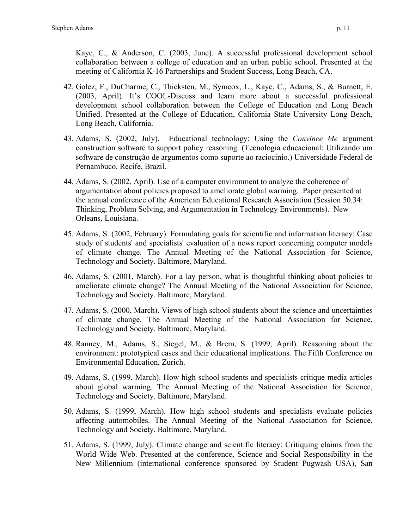Kaye, C., & Anderson, C. (2003, June). A successful professional development school collaboration between a college of education and an urban public school. Presented at the meeting of California K-16 Partnerships and Student Success, Long Beach, CA.

- 42. Golez, F., DuCharme, C., Thicksten, M., Symcox, L., Kaye, C., Adams, S., & Burnett, E. (2003, April). It's COOL-Discuss and learn more about a successful professional development school collaboration between the College of Education and Long Beach Unified. Presented at the College of Education, California State University Long Beach, Long Beach, California.
- 43. Adams, S. (2002, July). Educational technology: Using the *Convince Me* argument construction software to support policy reasoning. (Tecnologia educacional: Utilizando um software de construção de argumentos como suporte ao raciocinio.) Universidade Federal de Pernambuco. Recife, Brazil.
- 44. Adams, S. (2002, April). Use of a computer environment to analyze the coherence of argumentation about policies proposed to ameliorate global warming. Paper presented at the annual conference of the American Educational Research Association (Session 50.34: Thinking, Problem Solving, and Argumentation in Technology Environments). New Orleans, Louisiana.
- 45. Adams, S. (2002, February). Formulating goals for scientific and information literacy: Case study of students' and specialists' evaluation of a news report concerning computer models of climate change. The Annual Meeting of the National Association for Science, Technology and Society. Baltimore, Maryland.
- 46. Adams, S. (2001, March). For a lay person, what is thoughtful thinking about policies to ameliorate climate change? The Annual Meeting of the National Association for Science, Technology and Society. Baltimore, Maryland.
- 47. Adams, S. (2000, March). Views of high school students about the science and uncertainties of climate change. The Annual Meeting of the National Association for Science, Technology and Society. Baltimore, Maryland.
- 48. Ranney, M., Adams, S., Siegel, M., & Brem, S. (1999, April). Reasoning about the environment: prototypical cases and their educational implications. The Fifth Conference on Environmental Education, Zurich.
- 49. Adams, S. (1999, March). How high school students and specialists critique media articles about global warming. The Annual Meeting of the National Association for Science, Technology and Society. Baltimore, Maryland.
- 50. Adams, S. (1999, March). How high school students and specialists evaluate policies affecting automobiles. The Annual Meeting of the National Association for Science, Technology and Society. Baltimore, Maryland.
- 51. Adams, S. (1999, July). Climate change and scientific literacy: Critiquing claims from the World Wide Web. Presented at the conference, Science and Social Responsibility in the New Millennium (international conference sponsored by Student Pugwash USA), San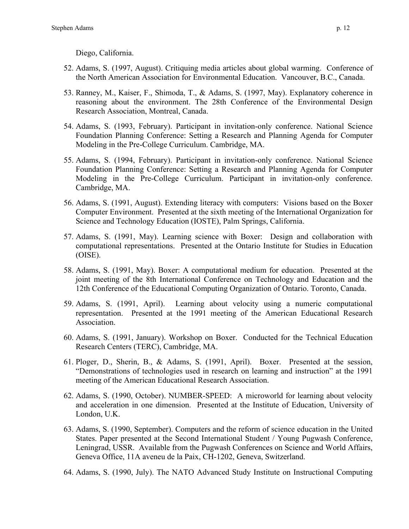Diego, California.

- 52. Adams, S. (1997, August). Critiquing media articles about global warming. Conference of the North American Association for Environmental Education. Vancouver, B.C., Canada.
- 53. Ranney, M., Kaiser, F., Shimoda, T., & Adams, S. (1997, May). Explanatory coherence in reasoning about the environment. The 28th Conference of the Environmental Design Research Association, Montreal, Canada.
- 54. Adams, S. (1993, February). Participant in invitation-only conference. National Science Foundation Planning Conference: Setting a Research and Planning Agenda for Computer Modeling in the Pre-College Curriculum. Cambridge, MA.
- 55. Adams, S. (1994, February). Participant in invitation-only conference. National Science Foundation Planning Conference: Setting a Research and Planning Agenda for Computer Modeling in the Pre-College Curriculum. Participant in invitation-only conference. Cambridge, MA.
- 56. Adams, S. (1991, August). Extending literacy with computers: Visions based on the Boxer Computer Environment. Presented at the sixth meeting of the International Organization for Science and Technology Education (IOSTE), Palm Springs, California.
- 57. Adams, S. (1991, May). Learning science with Boxer: Design and collaboration with computational representations. Presented at the Ontario Institute for Studies in Education (OISE).
- 58. Adams, S. (1991, May). Boxer: A computational medium for education. Presented at the joint meeting of the 8th International Conference on Technology and Education and the 12th Conference of the Educational Computing Organization of Ontario. Toronto, Canada.
- 59. Adams, S. (1991, April). Learning about velocity using a numeric computational representation. Presented at the 1991 meeting of the American Educational Research Association.
- 60. Adams, S. (1991, January). Workshop on Boxer. Conducted for the Technical Education Research Centers (TERC), Cambridge, MA.
- 61. Ploger, D., Sherin, B., & Adams, S. (1991, April). Boxer. Presented at the session, "Demonstrations of technologies used in research on learning and instruction" at the 1991 meeting of the American Educational Research Association.
- 62. Adams, S. (1990, October). NUMBER-SPEED: A microworld for learning about velocity and acceleration in one dimension. Presented at the Institute of Education, University of London, U.K.
- 63. Adams, S. (1990, September). Computers and the reform of science education in the United States. Paper presented at the Second International Student / Young Pugwash Conference, Leningrad, USSR. Available from the Pugwash Conferences on Science and World Affairs, Geneva Office, 11A aveneu de la Paix, CH-1202, Geneva, Switzerland.
- 64. Adams, S. (1990, July). The NATO Advanced Study Institute on Instructional Computing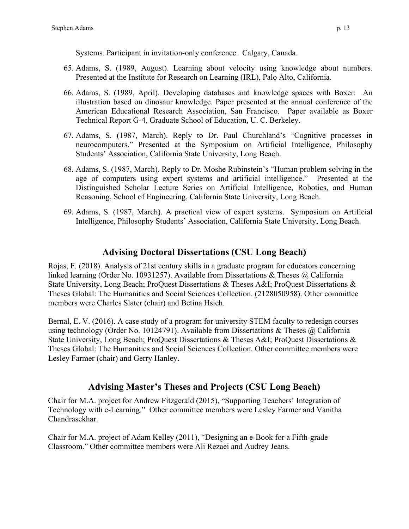Systems. Participant in invitation-only conference. Calgary, Canada.

- 65. Adams, S. (1989, August). Learning about velocity using knowledge about numbers. Presented at the Institute for Research on Learning (IRL), Palo Alto, California.
- 66. Adams, S. (1989, April). Developing databases and knowledge spaces with Boxer: An illustration based on dinosaur knowledge. Paper presented at the annual conference of the American Educational Research Association, San Francisco. Paper available as Boxer Technical Report G-4, Graduate School of Education, U. C. Berkeley.
- 67. Adams, S. (1987, March). Reply to Dr. Paul Churchland's "Cognitive processes in neurocomputers." Presented at the Symposium on Artificial Intelligence, Philosophy Students' Association, California State University, Long Beach.
- 68. Adams, S. (1987, March). Reply to Dr. Moshe Rubinstein's "Human problem solving in the age of computers using expert systems and artificial intelligence."Presented at the Distinguished Scholar Lecture Series on Artificial Intelligence, Robotics, and Human Reasoning, School of Engineering, California State University, Long Beach.
- 69. Adams, S. (1987, March). A practical view of expert systems. Symposium on Artificial Intelligence, Philosophy Students' Association, California State University, Long Beach.

# **Advising Doctoral Dissertations (CSU Long Beach)**

Rojas, F. (2018). Analysis of 21st century skills in a graduate program for educators concerning linked learning (Order No. 10931257). Available from Dissertations & Theses @ California State University, Long Beach; ProQuest Dissertations & Theses A&I; ProQuest Dissertations & Theses Global: The Humanities and Social Sciences Collection. (2128050958). Other committee members were Charles Slater (chair) and Betina Hsieh.

Bernal, E. V. (2016). A case study of a program for university STEM faculty to redesign courses using technology (Order No. 10124791). Available from Dissertations & Theses @ California State University, Long Beach; ProQuest Dissertations & Theses A&I; ProQuest Dissertations & Theses Global: The Humanities and Social Sciences Collection. Other committee members were Lesley Farmer (chair) and Gerry Hanley.

# **Advising Master's Theses and Projects (CSU Long Beach)**

Chair for M.A. project for Andrew Fitzgerald (2015), "Supporting Teachers' Integration of Technology with e-Learning." Other committee members were Lesley Farmer and Vanitha Chandrasekhar.

Chair for M.A. project of Adam Kelley (2011), "Designing an e-Book for a Fifth-grade Classroom." Other committee members were Ali Rezaei and Audrey Jeans.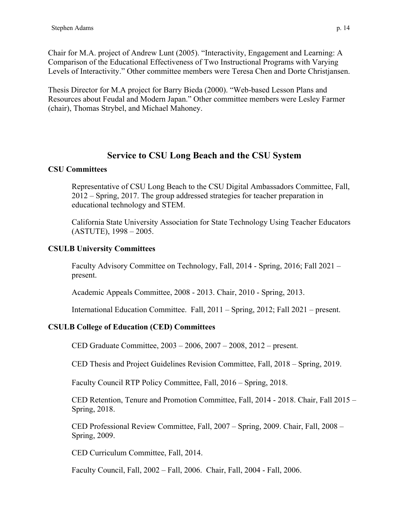Chair for M.A. project of Andrew Lunt (2005). "Interactivity, Engagement and Learning: A Comparison of the Educational Effectiveness of Two Instructional Programs with Varying Levels of Interactivity." Other committee members were Teresa Chen and Dorte Christjansen.

Thesis Director for M.A project for Barry Bieda (2000). "Web-based Lesson Plans and Resources about Feudal and Modern Japan." Other committee members were Lesley Farmer (chair), Thomas Strybel, and Michael Mahoney.

## **Service to CSU Long Beach and the CSU System**

### **CSU Committees**

Representative of CSU Long Beach to the CSU Digital Ambassadors Committee, Fall, 2012 – Spring, 2017. The group addressed strategies for teacher preparation in educational technology and STEM.

California State University Association for State Technology Using Teacher Educators (ASTUTE), 1998 – 2005.

### **CSULB University Committees**

Faculty Advisory Committee on Technology, Fall, 2014 - Spring, 2016; Fall 2021 – present.

Academic Appeals Committee, 2008 - 2013. Chair, 2010 - Spring, 2013.

International Education Committee. Fall, 2011 – Spring, 2012; Fall 2021 – present.

## **CSULB College of Education (CED) Committees**

CED Graduate Committee, 2003 – 2006, 2007 – 2008, 2012 – present.

CED Thesis and Project Guidelines Revision Committee, Fall, 2018 – Spring, 2019.

Faculty Council RTP Policy Committee, Fall, 2016 – Spring, 2018.

CED Retention, Tenure and Promotion Committee, Fall, 2014 - 2018. Chair, Fall 2015 – Spring, 2018.

CED Professional Review Committee, Fall, 2007 – Spring, 2009. Chair, Fall, 2008 – Spring, 2009.

CED Curriculum Committee, Fall, 2014.

Faculty Council, Fall, 2002 – Fall, 2006. Chair, Fall, 2004 - Fall, 2006.